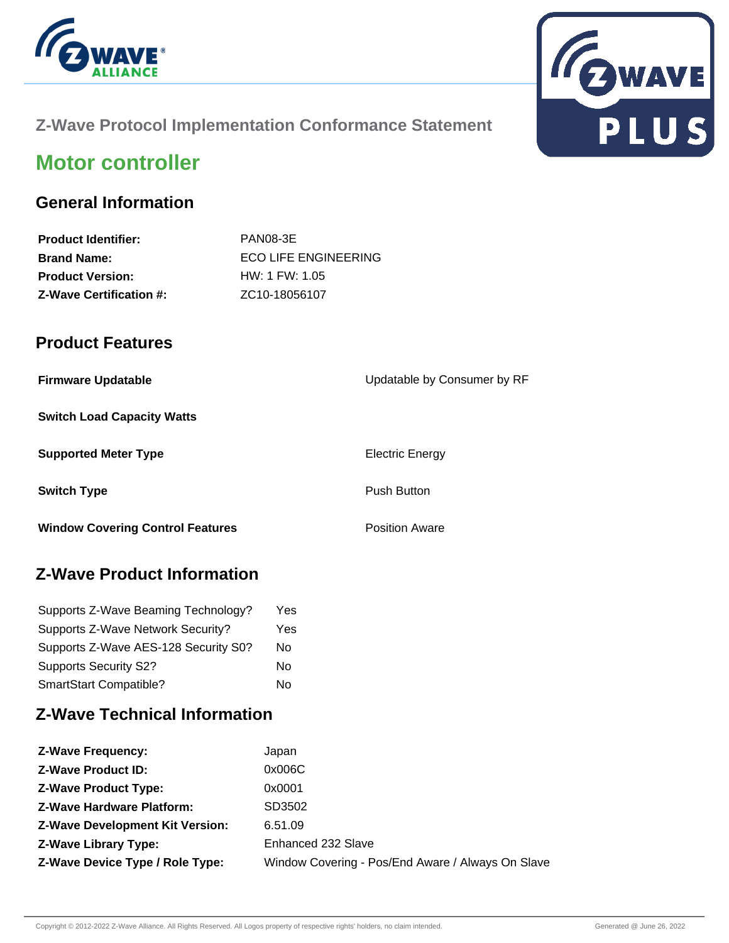



## **Z-Wave Protocol Implementation Conformance Statement**

# **Motor controller**

### **General Information**

| <b>Product Identifier:</b>     | PAN08-3E                   |
|--------------------------------|----------------------------|
| <b>Brand Name:</b>             | ECO LIFE ENGINEERING       |
| <b>Product Version:</b>        | HW: 1 FW: 1.05             |
| <b>Z-Wave Certification #:</b> | ZC <sub>10</sub> -18056107 |

### **Product Features**

| <b>Firmware Updatable</b>               | Updatable by Consumer by RF |
|-----------------------------------------|-----------------------------|
| <b>Switch Load Capacity Watts</b>       |                             |
| <b>Supported Meter Type</b>             | <b>Electric Energy</b>      |
| <b>Switch Type</b>                      | <b>Push Button</b>          |
| <b>Window Covering Control Features</b> | <b>Position Aware</b>       |

## **Z-Wave Product Information**

| Supports Z-Wave Beaming Technology?  | Yes |
|--------------------------------------|-----|
| Supports Z-Wave Network Security?    | Yes |
| Supports Z-Wave AES-128 Security S0? | No  |
| <b>Supports Security S2?</b>         | No  |
| SmartStart Compatible?               | No  |

## **Z-Wave Technical Information**

| <b>Z-Wave Frequency:</b>               | Japan                                             |
|----------------------------------------|---------------------------------------------------|
| <b>Z-Wave Product ID:</b>              | 0x006C                                            |
| <b>Z-Wave Product Type:</b>            | 0x0001                                            |
| <b>Z-Wave Hardware Platform:</b>       | SD3502                                            |
| <b>Z-Wave Development Kit Version:</b> | 6.51.09                                           |
| <b>Z-Wave Library Type:</b>            | Enhanced 232 Slave                                |
| Z-Wave Device Type / Role Type:        | Window Covering - Pos/End Aware / Always On Slave |